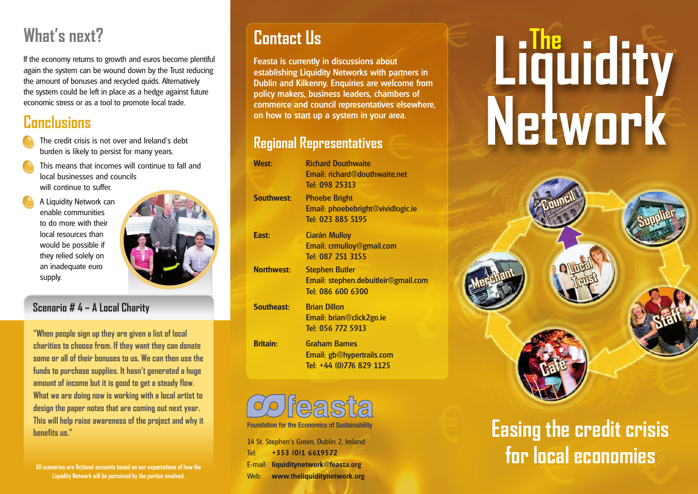# **What's next?**

If the economy returns to growth and euros become plentiful again the system can be wound down by the Trust reducing the amount of bonuses and recycled quids. Alternatively the system could be left in place as a hedge against future economic stress or as a tool to promote local trade.

#### **Conclusions**

- The credit crisis is not over and Ireland's debt burden is likely to persist for many years.
- This means that incomes will continue to fall and local businesses and councils will continue to suffer.
- A Liquidity Network can enable communities to do more with their local resources than would be possible if they relied solely on an inadequate euro supply.



#### **Scenario # 4 – A Local Charity**

**"When people sign up they are given a list of local charities to choose from. If they want they can donate some or all of their bonuses to us. We can then use the funds to purchase supplies. It hasn't generated a huge amount of income but it is good to get a steady flow. What we are doing now is working with a local artist to design the paper notes that are coming out next year. This will help raise awareness of the project and why it benefits us."**

**All scenarios are fictional accounts based on our expectations of how the Liquidity Network will be perceived by the parties involved.**

# **Contact Us**

Feasta is currently in discussions about establishing Liquidity Networks with partners in Dublin and Kilkenny. Enquiries are welcome from policy makers, business leaders, chambers of commerce and council representatives elsewhere, on how to start up a system in your area.

#### **Regional Representatives**

| <b>West:</b>      | <b>Richard Douthwaite</b><br>Email: richard@douthwaite.net<br>Tel: 098 25313      |
|-------------------|-----------------------------------------------------------------------------------|
| <b>Southwest:</b> | <b>Phoebe Bright</b><br>Email: phoebebright@vividlogic.ie<br>Tel: 023 885 5195    |
| East:             | <b>Ciarán Mulloy</b><br>Email: crmulloy@gmail.com<br>Tel: 087 251 3155            |
| <b>Northwest:</b> | <b>Stephen Butler</b><br>Email: stephen.debuitleir@gmail.com<br>Tel: 086 600 6300 |
| Southeast:        | <b>Brian Dillon</b><br>Email: brian@click2go.ie<br>Tel: 056 772 5913              |
| <b>Britain:</b>   | <b>Graham Barnes</b><br>Email: gb@hypertrails.com<br>Tel: +44 (0)776 829 1125     |



Foundation for the Economics of Sustainability

14 St. Stephen's Green, Dublin 2, Ireland Tel: **+353 (0)1 6619572** E-mail: **liquiditynetwork@feasta.org** Web: **www.theliquiditynetwork.org**

# Liguidity<br>Network



**Easing the credit crisis for local economies**